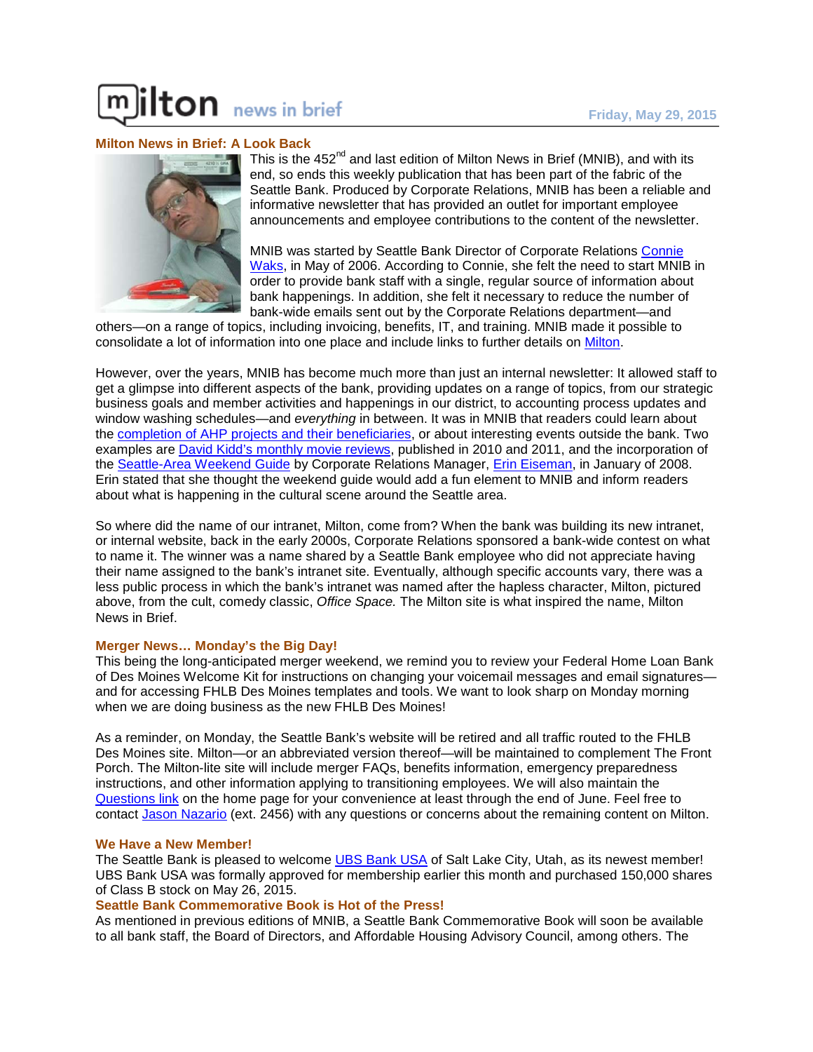# Iton news in brief

# **Milton News in Brief: A Look Back**



This is the  $452<sup>nd</sup>$  and last edition of Milton News in Brief (MNIB), and with its end, so ends this weekly publication that has been part of the fabric of the Seattle Bank. Produced by Corporate Relations, MNIB has been a reliable and informative newsletter that has provided an outlet for important employee announcements and employee contributions to the content of the newsletter.

MNIB was started by Seattle Bank Director of Corporate Relations [Connie](http://milton/directories/empdir.aspx?search=ConnieWaks)  [Waks,](http://milton/directories/empdir.aspx?search=ConnieWaks) in May of 2006. According to Connie, she felt the need to start MNIB in order to provide bank staff with a single, regular source of information about bank happenings. In addition, she felt it necessary to reduce the number of bank-wide emails sent out by the Corporate Relations department—and

others—on a range of topics, including invoicing, benefits, IT, and training. MNIB made it possible to consolidate a lot of information into one place and include links to further details on [Milton.](http://milton/)

However, over the years, MNIB has become much more than just an internal newsletter: It allowed staff to get a glimpse into different aspects of the bank, providing updates on a range of topics, from our strategic business goals and member activities and happenings in our district, to accounting process updates and window washing schedules—and *everything* in between. It was in MNIB that readers could learn about the [completion of AHP projects](http://milton/news/mnib/20150501.pdf) and their beneficiaries, or about interesting events outside the bank. Two examples are [David Kidd's monthly](http://milton/news/mnib/20111104.pdf) movie reviews, published in 2010 and 2011, and the incorporation of the [Seattle-Area Weekend Guide](#page-2-0) by Corporate Relations Manager, [Erin Eiseman,](http://milton/directories/empdir.aspx?search=ErinEiseman) in January of 2008. Erin stated that she thought the weekend guide would add a fun element to MNIB and inform readers about what is happening in the cultural scene around the Seattle area.

So where did the name of our intranet, Milton, come from? When the bank was building its new intranet, or internal website, back in the early 2000s, Corporate Relations sponsored a bank-wide contest on what to name it. The winner was a name shared by a Seattle Bank employee who did not appreciate having their name assigned to the bank's intranet site. Eventually, although specific accounts vary, there was a less public process in which the bank's intranet was named after the hapless character, Milton, pictured above, from the cult, comedy classic, *Office Space.* The Milton site is what inspired the name, Milton News in Brief.

#### **Merger News… Monday's the Big Day!**

This being the long-anticipated merger weekend, we remind you to review your Federal Home Loan Bank of Des Moines Welcome Kit for instructions on changing your voicemail messages and email signatures and for accessing FHLB Des Moines templates and tools. We want to look sharp on Monday morning when we are doing business as the new FHLB Des Moines!

As a reminder, on Monday, the Seattle Bank's website will be retired and all traffic routed to the FHLB Des Moines site. Milton—or an abbreviated version thereof—will be maintained to complement The Front Porch. The Milton-lite site will include merger FAQs, benefits information, emergency preparedness instructions, and other information applying to transitioning employees. We will also maintain the [Questions link](http://milton/misc_pages/Questions.aspx) on the home page for your convenience at least through the end of June. Feel free to contact [Jason Nazario](mailto:jasonn@fhlbsea.com) (ext. 2456) with any questions or concerns about the remaining content on Milton.

#### **We Have a New Member!**

The Seattle Bank is pleased to welcome [UBS Bank USA](http://financialservicesinc.ubs.com/branch/saltlakecityfp/) of Salt Lake City, Utah, as its newest member! UBS Bank USA was formally approved for membership earlier this month and purchased 150,000 shares of Class B stock on May 26, 2015.

# **Seattle Bank Commemorative Book is Hot of the Press!**

As mentioned in previous editions of MNIB, a Seattle Bank Commemorative Book will soon be available to all bank staff, the Board of Directors, and Affordable Housing Advisory Council, among others. The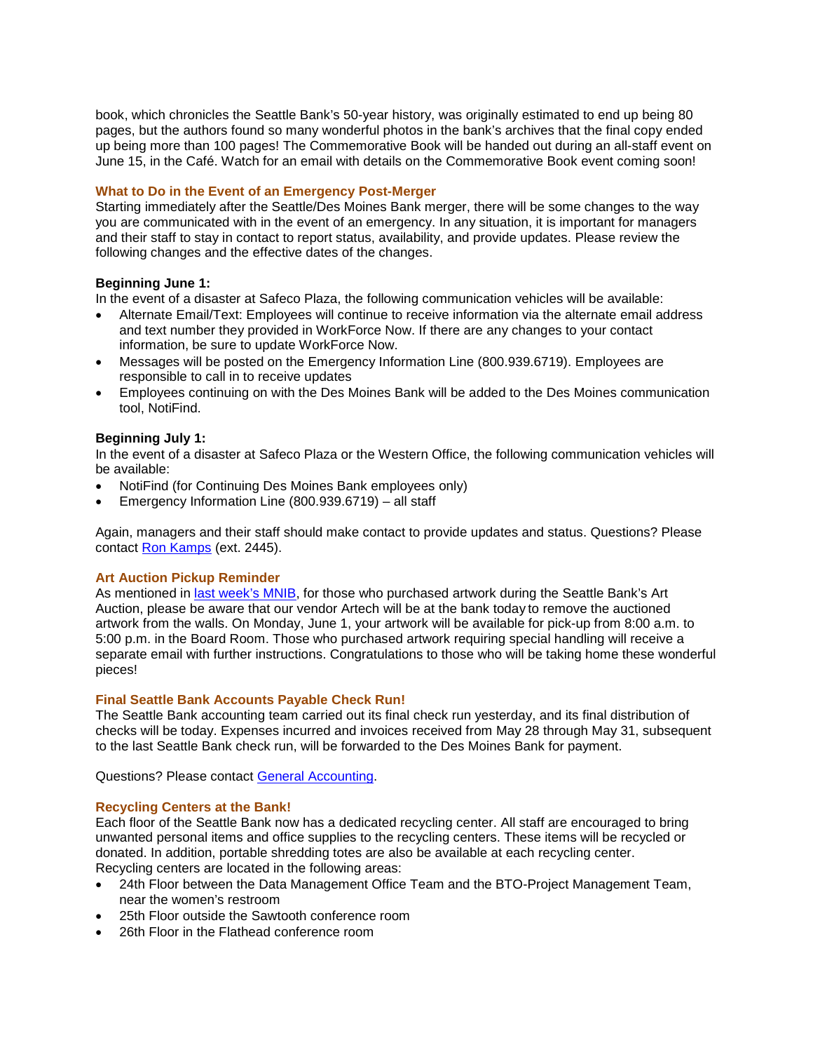book, which chronicles the Seattle Bank's 50-year history, was originally estimated to end up being 80 pages, but the authors found so many wonderful photos in the bank's archives that the final copy ended up being more than 100 pages! The Commemorative Book will be handed out during an all-staff event on June 15, in the Café. Watch for an email with details on the Commemorative Book event coming soon!

# **What to Do in the Event of an Emergency Post-Merger**

Starting immediately after the Seattle/Des Moines Bank merger, there will be some changes to the way you are communicated with in the event of an emergency. In any situation, it is important for managers and their staff to stay in contact to report status, availability, and provide updates. Please review the following changes and the effective dates of the changes.

# **Beginning June 1:**

In the event of a disaster at Safeco Plaza, the following communication vehicles will be available:

- Alternate Email/Text: Employees will continue to receive information via the alternate email address and text number they provided in WorkForce Now. If there are any changes to your contact information, be sure to update WorkForce Now.
- Messages will be posted on the Emergency Information Line (800.939.6719). Employees are responsible to call in to receive updates
- Employees continuing on with the Des Moines Bank will be added to the Des Moines communication tool, NotiFind.

# **Beginning July 1:**

In the event of a disaster at Safeco Plaza or the Western Office, the following communication vehicles will be available:

- NotiFind (for Continuing Des Moines Bank employees only)
- Emergency Information Line (800.939.6719) all staff

Again, managers and their staff should make contact to provide updates and status. Questions? Please contact [Ron Kamps](mailto:ronk@fhlbsea.com) (ext. 2445).

# **Art Auction Pickup Reminder**

As mentioned in last week's MNIB, for those who purchased artwork during the Seattle Bank's Art Auction, please be aware that our vendor Artech will be at the bank today to remove the auctioned artwork from the walls. On Monday, June 1, your artwork will be available for pick-up from 8:00 a.m. to 5:00 p.m. in the Board Room. Those who purchased artwork requiring special handling will receive a separate email with further instructions. Congratulations to those who will be taking home these wonderful pieces!

#### **Final Seattle Bank Accounts Payable Check Run!**

The Seattle Bank accounting team carried out its final check run yesterday, and its final distribution of checks will be today. Expenses incurred and invoices received from May 28 through May 31, subsequent to the last Seattle Bank check run, will be forwarded to the Des Moines Bank for payment.

Questions? Please contact [General Accounting.](mailto:GeneralAccounting@fhlbsea.com)

# **Recycling Centers at the Bank!**

Each floor of the Seattle Bank now has a dedicated recycling center. All staff are encouraged to bring unwanted personal items and office supplies to the recycling centers. These items will be recycled or donated. In addition, portable shredding totes are also be available at each recycling center. Recycling centers are located in the following areas:

- 24th Floor between the Data Management Office Team and the BTO-Project Management Team, near the women's restroom
- 25th Floor outside the Sawtooth conference room
- 26th Floor in the Flathead conference room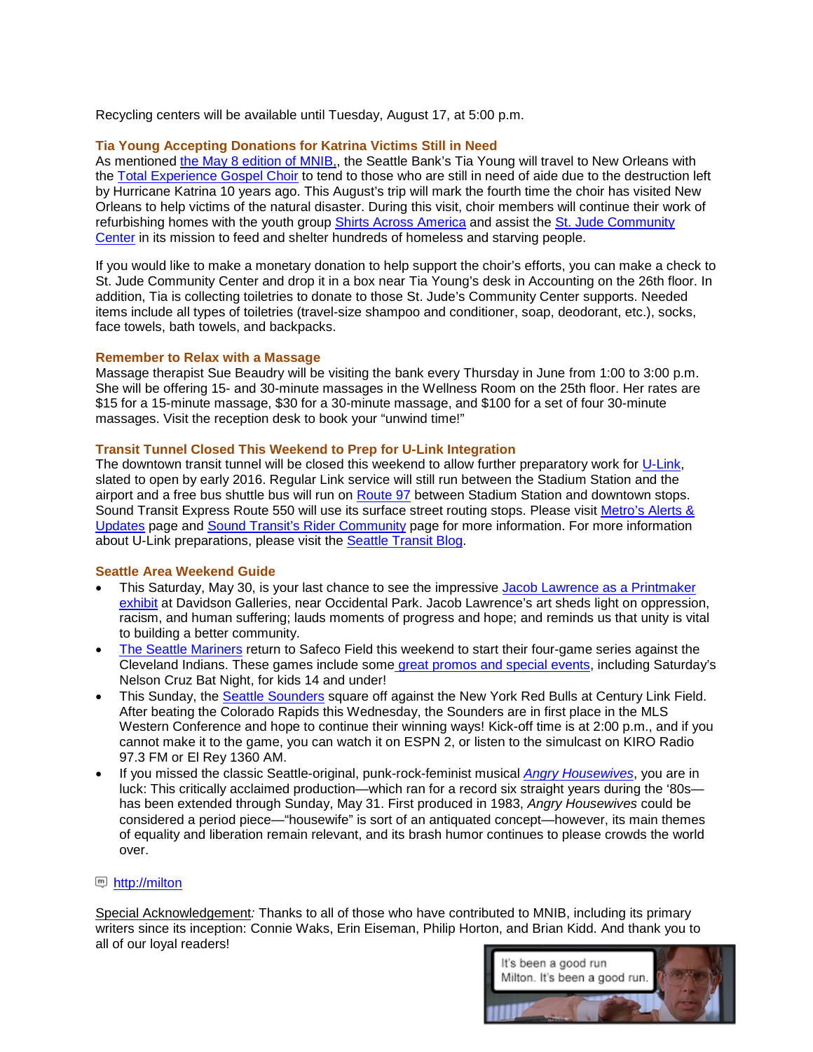Recycling centers will be available until Tuesday, August 17, at 5:00 p.m.

# **Tia Young Accepting Donations for Katrina Victims Still in Need**

As mentioned the May 8 edition of MNIB., the Seattle Bank's Tia Young will travel to New Orleans with the [Total Experience Gospel Choir](http://www.totalexperiencegospelchoir.org/) to tend to those who are still in need of aide due to the destruction left by Hurricane Katrina 10 years ago. This August's trip will mark the fourth time the choir has visited New Orleans to help victims of the natural disaster. During this visit, choir members will continue their work of refurbishing homes with the youth group [Shirts Across America](http://shirtsacrossamerica.org/) and assist the [St. Jude Community](http://judeshrine.com/st-jude-community-center/)  [Center](http://judeshrine.com/st-jude-community-center/) in its mission to feed and shelter hundreds of homeless and starving people.

If you would like to make a monetary donation to help support the choir's efforts, you can make a check to St. Jude Community Center and drop it in a box near Tia Young's desk in Accounting on the 26th floor. In addition, Tia is collecting toiletries to donate to those St. Jude's Community Center supports. Needed items include all types of toiletries (travel-size shampoo and conditioner, soap, deodorant, etc.), socks, face towels, bath towels, and backpacks.

#### **Remember to Relax with a Massage**

Massage therapist Sue Beaudry will be visiting the bank every Thursday in June from 1:00 to 3:00 p.m. She will be offering 15- and 30-minute massages in the Wellness Room on the 25th floor. Her rates are \$15 for a 15-minute massage, \$30 for a 30-minute massage, and \$100 for a set of four 30-minute massages. Visit the reception desk to book your "unwind time!"

# **Transit Tunnel Closed This Weekend to Prep for U-Link Integration**

The downtown transit tunnel will be closed this weekend to allow further preparatory work for [U-Link,](http://www.soundtransit.org/x7104.xml) slated to open by early 2016. Regular Link service will still run between the Stadium Station and the airport and a free bus shuttle bus will run on [Route 97](http://goo.gl/WBKKud) between Stadium Station and downtown stops. Sound Transit Express Route 550 will use its surface street routing stops. Please visit Metro's Alerts & [Updates](http://metro.kingcounty.gov/alerts/) page and [Sound Transit's Rider Community](http://www.soundtransit.org/Rider-Community/Rider-news/May-30-31-and-June-6-7-Link-and-tunnel-closures) page for more information. For more information about U-Link preparations, please visit the [Seattle Transit Blog.](http://seattletransitblog.com/2015/05/26/link-not-serving-tunnel-next-two-weekends/)

#### <span id="page-2-0"></span>**Seattle Area Weekend Guide**

- This Saturday, May 30, is your last chance to see the impressive [Jacob Lawrence as a Printmaker](http://www.davidsongalleries.com/exhibitions/modern/jacob-lawrence-as-printmaker/) [exhibit](http://www.davidsongalleries.com/exhibitions/modern/jacob-lawrence-as-printmaker/) at Davidson Galleries, near Occidental Park. Jacob Lawrence's art sheds light on oppression, racism, and human suffering; lauds moments of progress and hope; and reminds us that unity is vital to building a better community.
- [The Seattle Mariners](http://goo.gl/j5VBv3) return to Safeco Field this weekend to start their four-game series against the Cleveland Indians. These games include some [great promos and special events,](http://goo.gl/40o4md) including Saturday's Nelson Cruz Bat Night, for kids 14 and under!
- This Sunday, the [Seattle Sounders](http://www.soundersfc.com/) square off against the New York Red Bulls at Century Link Field. After beating the Colorado Rapids this Wednesday, the Sounders are in first place in the MLS Western Conference and hope to continue their winning ways! Kick-off time is at 2:00 p.m., and if you cannot make it to the game, you can watch it on ESPN 2, or listen to the simulcast on KIRO Radio 97.3 FM or El Rey 1360 AM.
- If you missed the classic Seattle-original, punk-rock-feminist musical *[Angry Housewives](http://www.artswest.org/theatre-plays/angry-housewives/)*, you are in luck: This critically acclaimed production—which ran for a record six straight years during the '80s has been extended through Sunday, May 31. First produced in 1983, *Angry Housewives* could be considered a period piece—"housewife" is sort of an antiquated concept—however, its main themes of equality and liberation remain relevant, and its brash humor continues to please crowds the world over.

#### [http://milton](http://milton/)

Special Acknowledgement*:* Thanks to all of those who have contributed to MNIB, including its primary writers since its inception: Connie Waks, Erin Eiseman, Philip Horton, and Brian Kidd. And thank you to all of our loyal readers!